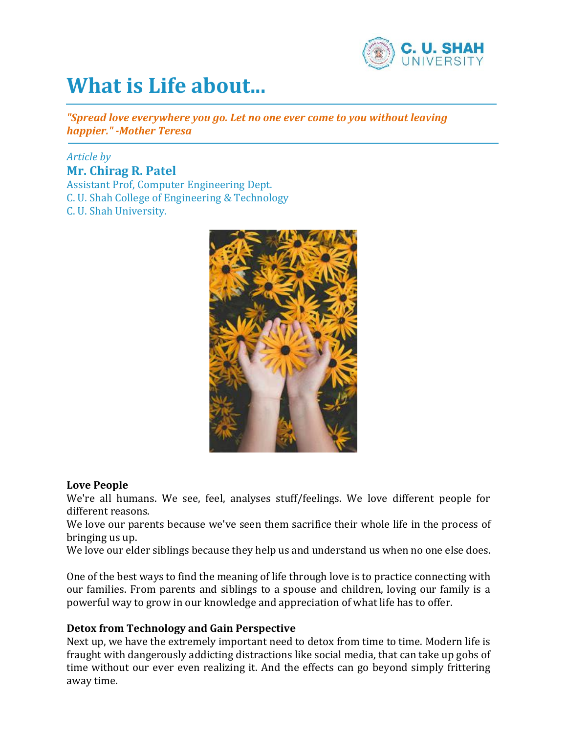

# **What is Life about...**

*"Spread love everywhere you go. Let no one ever come to you without leaving happier." -Mother Teresa*

# *Article by* **Mr. Chirag R. Patel**

Assistant Prof, Computer Engineering Dept. C. U. Shah College of Engineering & Technology C. U. Shah University.



# **Love People**

We're all humans. We see, feel, analyses stuff/feelings. We love different people for different reasons.

We love our parents because we've seen them sacrifice their whole life in the process of bringing us up.

We love our elder siblings because they help us and understand us when no one else does.

One of the best ways to find the meaning of life through love is to practice connecting with our families. From parents and siblings to a spouse and children, loving our family is a powerful way to grow in our knowledge and appreciation of what life has to offer.

# **Detox from Technology and Gain Perspective**

Next up, we have the extremely important need to detox from time to time. Modern life is fraught with dangerously addicting distractions like social media, that can take up gobs of time without our ever even realizing it. And the effects can go beyond simply frittering away time.